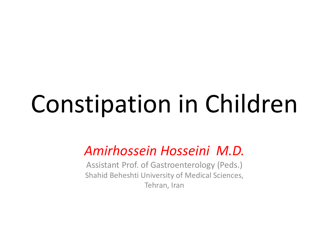# Constipation in Children

### *Amirhossein Hosseini M.D.*

Assistant Prof. of Gastroenterology (Peds.) Shahid Beheshti University of Medical Sciences, Tehran, Iran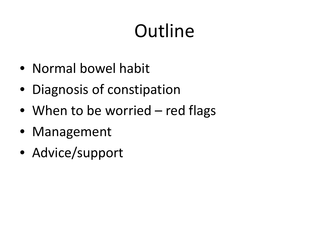# **Outline**

- Normal bowel habit
- Diagnosis of constipation
- When to be worried red flags
- Management
- Advice/support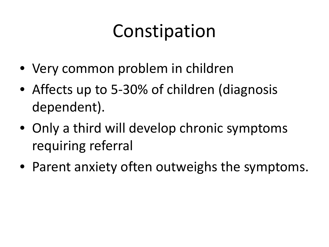### Constipation

- Very common problem in children
- Affects up to 5-30% of children (diagnosis dependent).
- Only a third will develop chronic symptoms requiring referral
- Parent anxiety often outweighs the symptoms.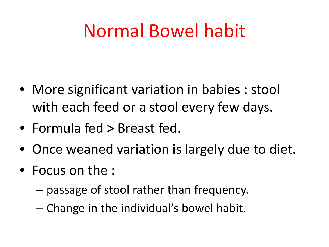### Normal Bowel habit

- More significant variation in babies : stool with each feed or a stool every few days.
- Formula fed > Breast fed.
- Once weaned variation is largely due to diet.
- Focus on the :
	- passage of stool rather than frequency.
	- Change in the individual's bowel habit.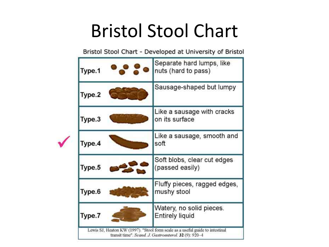### Bristol Stool Chart

Bristol Stool Chart - Developed at University of Bristol

| Type.1 | Separate hard lumps, like<br>nuts (hard to pass) |
|--------|--------------------------------------------------|
| Type.2 | Sausage-shaped but lumpy                         |
| Type.3 | Like a sausage with cracks<br>on its surface     |
| Type.4 | Like a sausage, smooth and<br>soft               |
| Type.5 | Soft blobs, clear cut edges<br>(passed easily)   |
| Type.6 | Fluffy pieces, ragged edges,<br>mushy stool      |
| Type.7 | Watery, no solid pieces.<br>Entirely liquid      |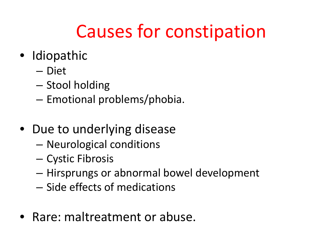### Causes for constipation

- Idiopathic
	- Diet
	- Stool holding
	- Emotional problems/phobia.
- Due to underlying disease
	- Neurological conditions
	- Cystic Fibrosis
	- Hirsprungs or abnormal bowel development
	- Side effects of medications
- Rare: maltreatment or abuse.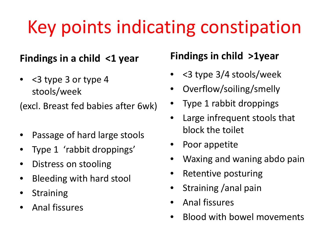## Key points indicating constipation

#### **Findings in a child <1 year**

• <3 type 3 or type 4 stools/week

(excl. Breast fed babies after 6wk)

- Passage of hard large stools
- Type 1 'rabbit droppings'
- Distress on stooling
- Bleeding with hard stool
- **Straining**
- Anal fissures

#### **Findings in child >1year**

- <3 type 3/4 stools/week
- Overflow/soiling/smelly
- Type 1 rabbit droppings
- Large infrequent stools that block the toilet
- Poor appetite
- Waxing and waning abdo pain
- Retentive posturing
- Straining /anal pain
- Anal fissures
- Blood with bowel movements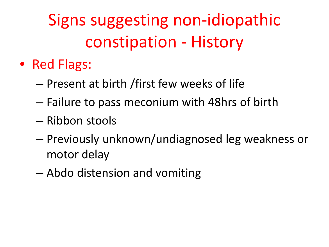Signs suggesting non-idiopathic constipation - History

- Red Flags:
	- Present at birth /first few weeks of life
	- Failure to pass meconium with 48hrs of birth
	- Ribbon stools
	- Previously unknown/undiagnosed leg weakness or motor delay
	- Abdo distension and vomiting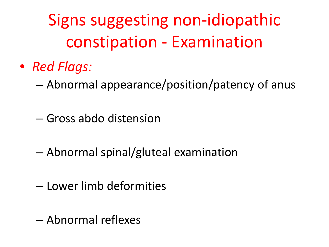Signs suggesting non-idiopathic constipation - Examination

- *Red Flags:*
	- Abnormal appearance/position/patency of anus
	- Gross abdo distension
	- Abnormal spinal/gluteal examination
	- Lower limb deformities
	- Abnormal reflexes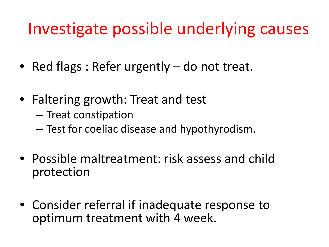### Investigate possible underlying causes

- Red flags : Refer urgently do not treat.
- Faltering growth: Treat and test
	- Treat constipation
	- Test for coeliac disease and hypothyrodism.
- Possible maltreatment: risk assess and child protection
- Consider referral if inadequate response to optimum treatment with 4 week.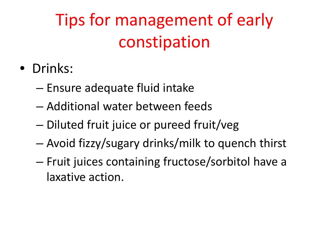### Tips for management of early constipation

- Drinks:
	- Ensure adequate fluid intake
	- Additional water between feeds
	- Diluted fruit juice or pureed fruit/veg
	- Avoid fizzy/sugary drinks/milk to quench thirst
	- Fruit juices containing fructose/sorbitol have a laxative action.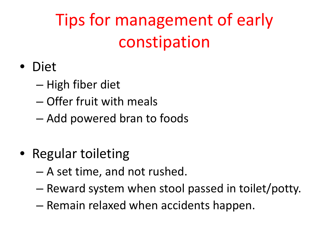### Tips for management of early constipation

### • Diet

- High fiber diet
- Offer fruit with meals
- Add powered bran to foods
- Regular toileting
	- A set time, and not rushed.
	- Reward system when stool passed in toilet/potty.
	- Remain relaxed when accidents happen.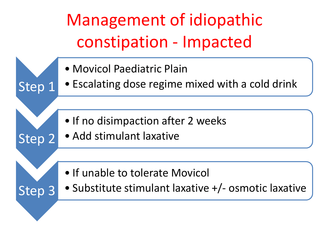Management of idiopathic constipation - Impacted

• Movicol Paediatric Plain

Step 1

Step 2

Step 3

- Escalating dose regime mixed with a cold drink
- If no disimpaction after 2 weeks
- Add stimulant laxative
- If unable to tolerate Movicol
- Substitute stimulant laxative +/- osmotic laxative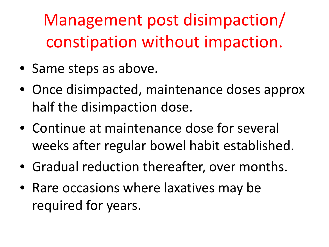Management post disimpaction/ constipation without impaction.

- Same steps as above.
- Once disimpacted, maintenance doses approx half the disimpaction dose.
- Continue at maintenance dose for several weeks after regular bowel habit established.
- Gradual reduction thereafter, over months.
- Rare occasions where laxatives may be required for years.